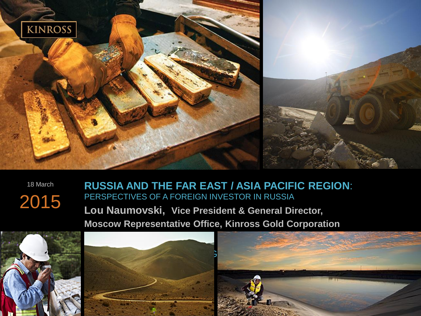

18 March 2015

#### **RUSSIA AND THE FAR EAST / ASIA PACIFIC REGION**: PERSPECTIVES OF A FOREIGN INVESTOR IN RUSSIA

**Lou Naumovski, Vice President & General Director, Moscow Representative Office, Kinross Gold Corporation**





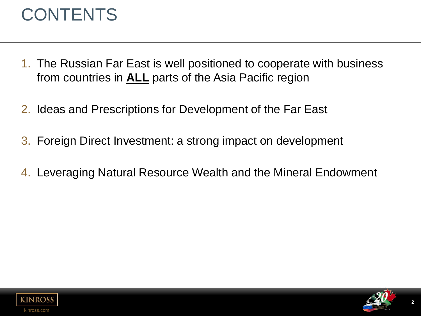## **CONTENTS**

- 1. The Russian Far East is well positioned to cooperate with business from countries in **ALL** parts of the Asia Pacific region
- 2. Ideas and Prescriptions for Development of the Far East
- 3. Foreign Direct Investment: a strong impact on development
- 4. Leveraging Natural Resource Wealth and the Mineral Endowment



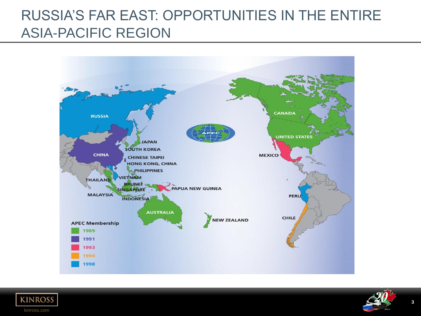#### RUSSIA'S FAR EAST: OPPORTUNITIES IN THE ENTIRE ASIA-PACIFIC REGION





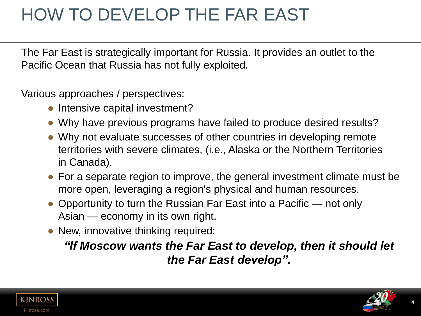# HOW TO DEVELOP THE FAR EAST

The Far East is strategically important for Russia. It provides an outlet to the Pacific Ocean that Russia has not fully exploited.

Various approaches / perspectives:

- Intensive capital investment?
- Why have previous programs have failed to produce desired results?
- Why not evaluate successes of other countries in developing remote territories with severe climates, (i.e., Alaska or the Northern Territories in Canada).
- For a separate region to improve, the general investment climate must be more open, leveraging a region's physical and human resources.
- Opportunity to turn the Russian Far East into a Pacific not only Asian — economy in its own right.
- New, innovative thinking required:

*"If Moscow wants the Far East to develop, then it should let the Far East develop".* 



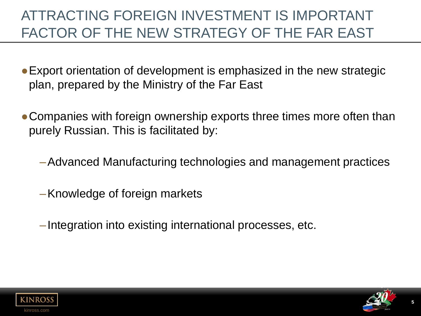### ATTRACTING FOREIGN INVESTMENT IS IMPORTANT FACTOR OF THE NEW STRATEGY OF THE FAR EAST

- Export orientation of development is emphasized in the new strategic plan, prepared by the Ministry of the Far East
- Companies with foreign ownership exports three times more often than purely Russian. This is facilitated by:
	- –Advanced Manufacturing technologies and management practices
	- –Knowledge of foreign markets
	- –Integration into existing international processes, etc.



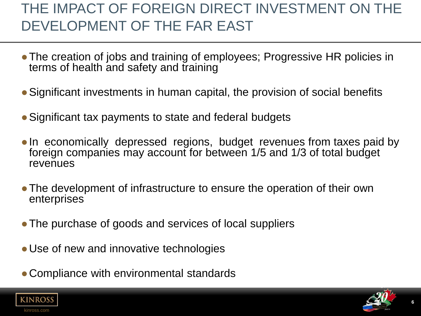### THE IMPACT OF FOREIGN DIRECT INVESTMENT ON THE DEVELOPMENT OF THE FAR EAST

- The creation of jobs and training of employees; Progressive HR policies in terms of health and safety and training
- Significant investments in human capital, the provision of social benefits
- Significant tax payments to state and federal budgets
- In economically depressed regions, budget revenues from taxes paid by foreign companies may account for between 1/5 and 1/3 of total budget revenues
- The development of infrastructure to ensure the operation of their own enterprises
- The purchase of goods and services of local suppliers
- Use of new and innovative technologies
- Compliance with environmental standards



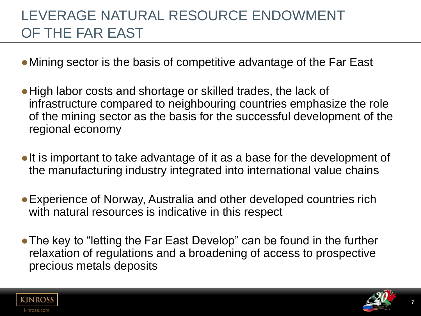### LEVERAGE NATURAL RESOURCE ENDOWMENT OF THE FAR EAST

- Mining sector is the basis of competitive advantage of the Far East
- High labor costs and shortage or skilled trades, the lack of infrastructure compared to neighbouring countries emphasize the role of the mining sector as the basis for the successful development of the regional economy
- It is important to take advantage of it as a base for the development of the manufacturing industry integrated into international value chains
- Experience of Norway, Australia and other developed countries rich with natural resources is indicative in this respect
- The key to "letting the Far East Develop" can be found in the further relaxation of regulations and a broadening of access to prospective precious metals deposits



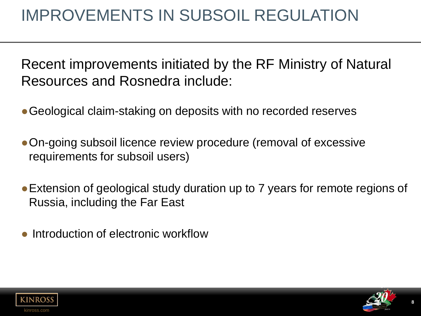## IMPROVEMENTS IN SUBSOIL REGULATION

Recent improvements initiated by the RF Ministry of Natural Resources and Rosnedra include:

- Geological claim-staking on deposits with no recorded reserves
- ●On-going subsoil licence review procedure (removal of excessive requirements for subsoil users)
- Extension of geological study duration up to 7 years for remote regions of Russia, including the Far East
- Introduction of electronic workflow